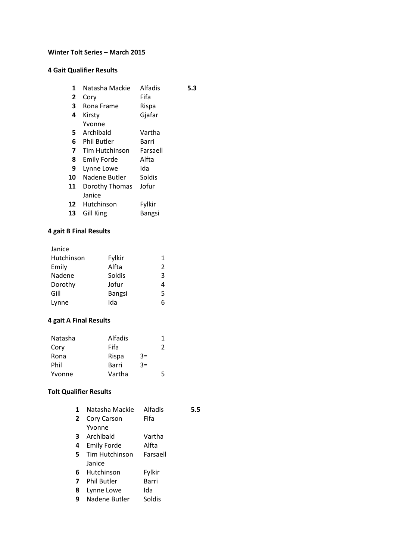#### **Winter Tolt Series – March 2015**

## **4 Gait Qualifier Results**

| 1  | Natasha Mackie     | Alfadis  | 5.3 |
|----|--------------------|----------|-----|
| 2  | Cory               | Fifa     |     |
| 3  | Rona Frame         | Rispa    |     |
| 4  | Kirsty             | Gjafar   |     |
|    | Yvonne             |          |     |
| 5. | Archibald          | Vartha   |     |
| 6  | <b>Phil Butler</b> | Barri    |     |
| 7  | Tim Hutchinson     | Farsaell |     |
| 8  | Emily Forde        | Alfta    |     |
| 9  | Lynne Lowe         | Ida      |     |
| 10 | Nadene Butler      | Soldis   |     |
| 11 | Dorothy Thomas     | Jofur    |     |
|    | Janice             |          |     |
| 12 | Hutchinson         | Fylkir   |     |
| 13 | Gill King          | Bangsi   |     |
|    |                    |          |     |

# **4 gait B Final Results**

| 1 |
|---|
| 2 |
| 3 |
| 4 |
| 5 |
| 6 |
|   |

# **4 gait A Final Results**

| Natasha | Alfadis |      | 1 |
|---------|---------|------|---|
| Cory    | Fifa    |      | 2 |
| Rona    | Rispa   | $3=$ |   |
| Phil    | Barri   | $3=$ |   |
| Yvonne  | Vartha  |      | 5 |

# **Tolt Qualifier Results**

| 1  | Natasha Mackie     | Alfadis  | 5.5 |
|----|--------------------|----------|-----|
| 2  | Cory Carson        | Fifa     |     |
|    | Yvonne             |          |     |
| 3  | Archibald          | Vartha   |     |
| 4  | Emily Forde        | Alfta    |     |
| 5. | Tim Hutchinson     | Farsaell |     |
|    | Janice             |          |     |
| 6  | Hutchinson         | Fylkir   |     |
| 7  | <b>Phil Butler</b> | Barri    |     |
| 8  | Lynne Lowe         | Ida      |     |
| 9  | Nadene Butler      | Soldis   |     |
|    |                    |          |     |